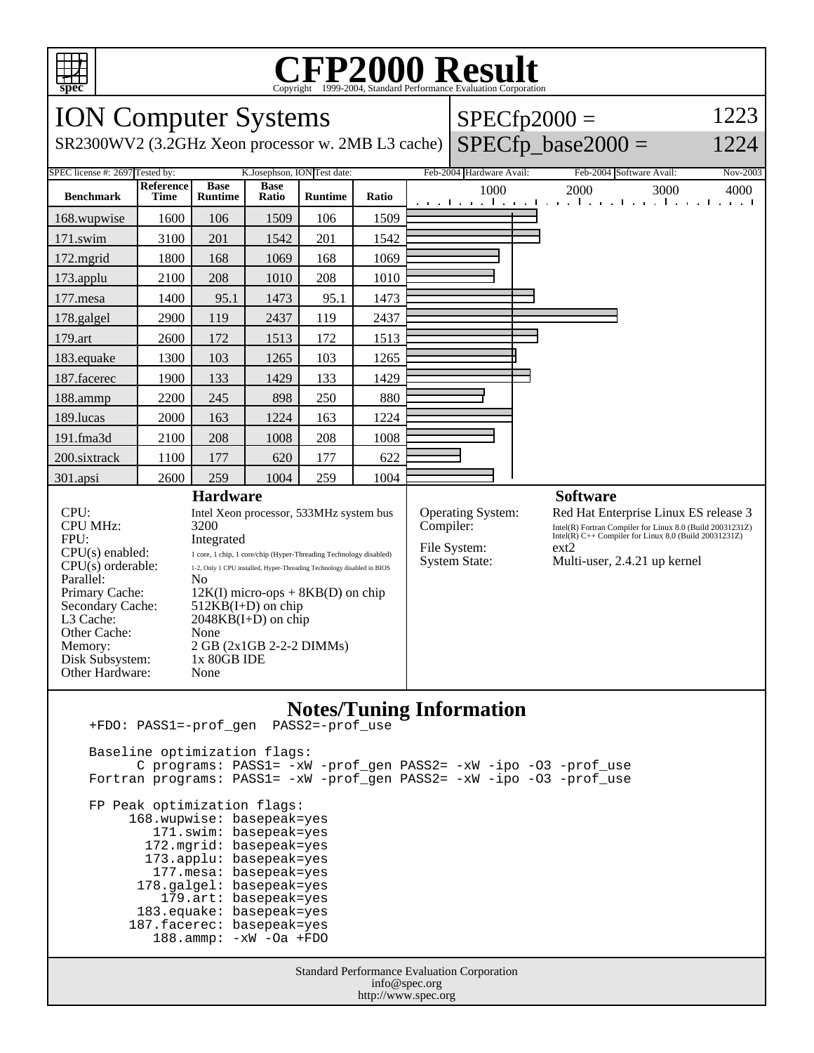

# Copyright ©1999-2004, Standard Performance Evaluation Corporation

| <b>ION Computer Systems</b>                                                                                                                                                                                              |                          |                                                                                                                                                                                                                                                                                                                                                                                                      |                      |                |       |           |                                                                  | $SPECfp2000 =$                                                                                                                                                                                                         | 1223     |
|--------------------------------------------------------------------------------------------------------------------------------------------------------------------------------------------------------------------------|--------------------------|------------------------------------------------------------------------------------------------------------------------------------------------------------------------------------------------------------------------------------------------------------------------------------------------------------------------------------------------------------------------------------------------------|----------------------|----------------|-------|-----------|------------------------------------------------------------------|------------------------------------------------------------------------------------------------------------------------------------------------------------------------------------------------------------------------|----------|
| SR2300WV2 (3.2GHz Xeon processor w. 2MB L3 cache)                                                                                                                                                                        |                          | $SPECfp\_base2000 =$                                                                                                                                                                                                                                                                                                                                                                                 | 1224                 |                |       |           |                                                                  |                                                                                                                                                                                                                        |          |
| K.Josephson, ION Test date:<br>SPEC license #: 2697 Tested by:                                                                                                                                                           |                          |                                                                                                                                                                                                                                                                                                                                                                                                      |                      |                |       |           | Feb-2004 Hardware Avail:                                         | Feb-2004 Software Avail:                                                                                                                                                                                               | Nov-2003 |
| <b>Benchmark</b>                                                                                                                                                                                                         | Reference<br><b>Time</b> | <b>Base</b><br><b>Runtime</b>                                                                                                                                                                                                                                                                                                                                                                        | <b>Base</b><br>Ratio | <b>Runtime</b> | Ratio |           | 1000<br>and the man                                              | 2000<br>3000<br>The property of the con-<br>1. 1.                                                                                                                                                                      | 4000     |
| 168.wupwise                                                                                                                                                                                                              | 1600                     | 106                                                                                                                                                                                                                                                                                                                                                                                                  | 1509                 | 106            | 1509  |           |                                                                  |                                                                                                                                                                                                                        |          |
| 171.swim                                                                                                                                                                                                                 | 3100                     | 201                                                                                                                                                                                                                                                                                                                                                                                                  | 1542                 | 201            | 1542  |           |                                                                  |                                                                                                                                                                                                                        |          |
| 172.mgrid                                                                                                                                                                                                                | 1800                     | 168                                                                                                                                                                                                                                                                                                                                                                                                  | 1069                 | 168            | 1069  |           |                                                                  |                                                                                                                                                                                                                        |          |
| 173.applu                                                                                                                                                                                                                | 2100                     | 208                                                                                                                                                                                                                                                                                                                                                                                                  | 1010                 | 208            | 1010  |           |                                                                  |                                                                                                                                                                                                                        |          |
| 177.mesa                                                                                                                                                                                                                 | 1400                     | 95.1                                                                                                                                                                                                                                                                                                                                                                                                 | 1473                 | 95.1           | 1473  |           |                                                                  |                                                                                                                                                                                                                        |          |
| 178.galgel                                                                                                                                                                                                               | 2900                     | 119                                                                                                                                                                                                                                                                                                                                                                                                  | 2437                 | 119            | 2437  |           |                                                                  |                                                                                                                                                                                                                        |          |
| 179.art                                                                                                                                                                                                                  | 2600                     | 172                                                                                                                                                                                                                                                                                                                                                                                                  | 1513                 | 172            | 1513  |           |                                                                  |                                                                                                                                                                                                                        |          |
| 183.equake                                                                                                                                                                                                               | 1300                     | 103                                                                                                                                                                                                                                                                                                                                                                                                  | 1265                 | 103            | 1265  |           |                                                                  |                                                                                                                                                                                                                        |          |
| 187.facerec                                                                                                                                                                                                              | 1900                     | 133                                                                                                                                                                                                                                                                                                                                                                                                  | 1429                 | 133            | 1429  |           |                                                                  |                                                                                                                                                                                                                        |          |
| 188.ammp                                                                                                                                                                                                                 | 2200                     | 245                                                                                                                                                                                                                                                                                                                                                                                                  | 898                  | 250            | 880   |           |                                                                  |                                                                                                                                                                                                                        |          |
| 189.lucas                                                                                                                                                                                                                | 2000                     | 163                                                                                                                                                                                                                                                                                                                                                                                                  | 1224                 | 163            | 1224  |           |                                                                  |                                                                                                                                                                                                                        |          |
| 191.fma3d                                                                                                                                                                                                                | 2100                     | 208                                                                                                                                                                                                                                                                                                                                                                                                  | 1008                 | 208            | 1008  |           |                                                                  |                                                                                                                                                                                                                        |          |
| 200.sixtrack                                                                                                                                                                                                             | 1100                     | 177                                                                                                                                                                                                                                                                                                                                                                                                  | 620                  | 177            | 622   |           |                                                                  |                                                                                                                                                                                                                        |          |
| 301.apsi                                                                                                                                                                                                                 | 2600                     | 259                                                                                                                                                                                                                                                                                                                                                                                                  | 1004                 | 259            | 1004  |           |                                                                  |                                                                                                                                                                                                                        |          |
| CPU:<br><b>CPU MHz:</b><br>FPU:<br>$CPU(s)$ enabled:<br>$CPU(s)$ orderable:<br>Parallel:<br>Primary Cache:<br>Secondary Cache:<br>L <sub>3</sub> Cache:<br>Other Cache:<br>Memory:<br>Disk Subsystem:<br>Other Hardware: |                          | <b>Hardware</b><br>Intel Xeon processor, 533MHz system bus<br>3200<br>Integrated<br>1 core, 1 chip, 1 core/chip (Hyper-Threading Technology disabled)<br>1-2, Only 1 CPU installed, Hyper-Threading Technology disabled in BIOS<br>N <sub>0</sub><br>$12K(I)$ micro-ops + 8KB(D) on chip<br>$512KB(I+D)$ on chip<br>$2048KB(I+D)$ on chip<br>None<br>2 GB (2x1GB 2-2-2 DIMMs)<br>1x 80GB IDE<br>None |                      |                |       | Compiler: | <b>Operating System:</b><br>File System:<br><b>System State:</b> | <b>Software</b><br>Red Hat Enterprise Linux ES release 3<br>Intel(R) Fortran Compiler for Linux 8.0 (Build 20031231Z)<br>Intel(R) C++ Compiler for Linux 8.0 (Build 20031231Z)<br>ext2<br>Multi-user, 2.4.21 up kernel |          |
| $\mathbf{N}_{\alpha}$ tog/Tuning Information                                                                                                                                                                             |                          |                                                                                                                                                                                                                                                                                                                                                                                                      |                      |                |       |           |                                                                  |                                                                                                                                                                                                                        |          |

#### **Notes/Tuning Information** +FDO: PASS1=-prof\_gen PASS2=-prof\_use

Standard Performance Evaluation Corporation info@spec.org Baseline optimization flags: C programs: PASS1= -xW -prof\_gen PASS2= -xW -ipo -O3 -prof\_use Fortran programs: PASS1= -xW -prof\_gen PASS2= -xW -ipo -O3 -prof\_use FP Peak optimization flags: 168.wupwise: basepeak=yes 171.swim: basepeak=yes 172.mgrid: basepeak=yes 173.applu: basepeak=yes 177.mesa: basepeak=yes 178.galgel: basepeak=yes 179.art: basepeak=yes 183.equake: basepeak=yes 187.facerec: basepeak=yes 188.ammp: -xW -Oa +FDO

http://www.spec.org